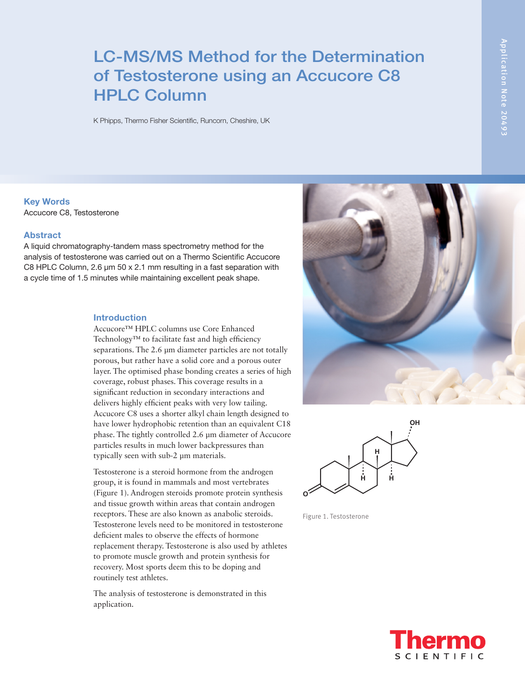# LC-MS/MS Method for the Determination of Testosterone using an Accucore C8 HPLC Column

K Phipps, Thermo Fisher Scientific, Runcorn, Cheshire, UK

Application Note 20493 Application Note 20493

Key Words

Accucore C8, Testosterone

#### Abstract

A liquid chromatography-tandem mass spectrometry method for the analysis of testosterone was carried out on a Thermo Scientific Accucore C8 HPLC Column, 2.6 µm 50 x 2.1 mm resulting in a fast separation with a cycle time of 1.5 minutes while maintaining excellent peak shape.

#### Introduction

Accucore™ HPLC columns use Core Enhanced Technology™ to facilitate fast and high efficiency separations. The 2.6 µm diameter particles are not totally porous, but rather have a solid core and a porous outer layer. The optimised phase bonding creates a series of high coverage, robust phases. This coverage results in a significant reduction in secondary interactions and delivers highly efficient peaks with very low tailing. Accucore C8 uses a shorter alkyl chain length designed to have lower hydrophobic retention than an equivalent C18 phase. The tightly controlled 2.6 µm diameter of Accucore particles results in much lower backpressures than typically seen with sub-2 µm materials.

Testosterone is a steroid hormone from the androgen group, it is found in mammals and most vertebrates (Figure 1). Androgen steroids promote protein synthesis and tissue growth within areas that contain androgen receptors. These are also known as anabolic steroids. Testosterone levels need to be monitored in testosterone deficient males to observe the effects of hormone replacement therapy. Testosterone is also used by athletes to promote muscle growth and protein synthesis for recovery. Most sports deem this to be doping and routinely test athletes.

The analysis of testosterone is demonstrated in this application.





Figure 1. Testosterone

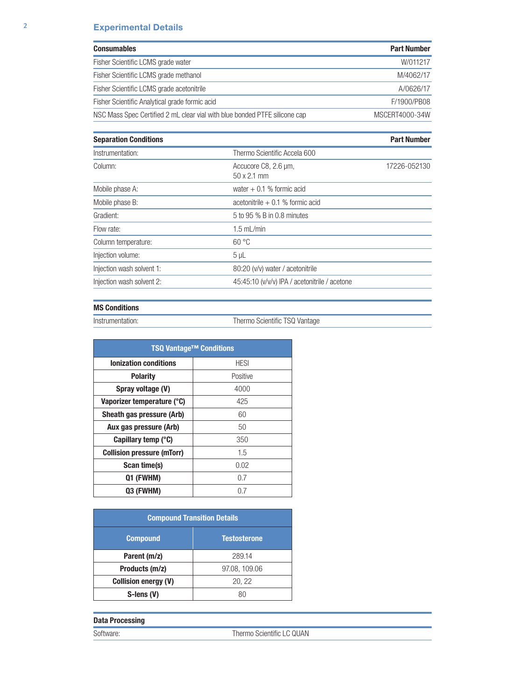# 2 Experimental Details

| <b>Consumables</b>                                                         | <b>Part Number</b> |
|----------------------------------------------------------------------------|--------------------|
| Fisher Scientific LCMS grade water                                         | W/011217           |
| Fisher Scientific LCMS grade methanol                                      | M/4062/17          |
| Fisher Scientific LCMS grade acetonitrile                                  | A/0626/17          |
| Fisher Scientific Analytical grade formic acid                             | F/1900/PB08        |
| NSC Mass Spec Certified 2 mL clear vial with blue bonded PTFE silicone cap | MSCERT4000-34W     |

| <b>Separation Conditions</b> |                                               | <b>Part Number</b> |
|------------------------------|-----------------------------------------------|--------------------|
| Instrumentation:             | Thermo Scientific Accela 600                  |                    |
| Column:                      | Accucore C8, 2.6 µm,<br>$50 \times 2.1$ mm    | 17226-052130       |
| Mobile phase A:              | water $+$ 0.1 % formic acid                   |                    |
| Mobile phase B:              | acetonitrile $+$ 0.1 % formic acid            |                    |
| Gradient:                    | 5 to 95 % B in 0.8 minutes                    |                    |
| Flow rate:                   | $1.5$ mL/min                                  |                    |
| Column temperature:          | 60 °C                                         |                    |
| Injection volume:            | $5 \mu L$                                     |                    |
| Injection wash solvent 1:    | 80:20 (v/v) water / acetonitrile              |                    |
| Injection wash solvent 2:    | 45:45:10 (v/v/v) IPA / acetonitrile / acetone |                    |

## MS Conditions

Instrumentation: Thermo Scientific TSQ Vantage

| <b>TSQ Vantage™ Conditions</b>    |             |  |
|-----------------------------------|-------------|--|
| <b>Ionization conditions</b>      | <b>HESI</b> |  |
| <b>Polarity</b>                   | Positive    |  |
| Spray voltage (V)                 | 4000        |  |
| Vaporizer temperature (°C)        | 425         |  |
| Sheath gas pressure (Arb)         | 60          |  |
| Aux gas pressure (Arb)            | 50          |  |
| Capillary temp (°C)               | 350         |  |
| <b>Collision pressure (mTorr)</b> | 1.5         |  |
| Scan time(s)                      | 0.02        |  |
| Q1 (FWHM)                         | 0.7         |  |
| Q3 (FWHM)                         | 0.7         |  |

| <b>Compound Transition Details</b> |                     |  |
|------------------------------------|---------------------|--|
| <b>Compound</b>                    | <b>Testosterone</b> |  |
| Parent (m/z)                       | 289.14              |  |
| Products (m/z)                     | 97.08, 109.06       |  |
| <b>Collision energy (V)</b>        | 20, 22              |  |
| S-lens (V)                         | 80                  |  |

## Data Processing

Software: Thermo Scientific LC QUAN